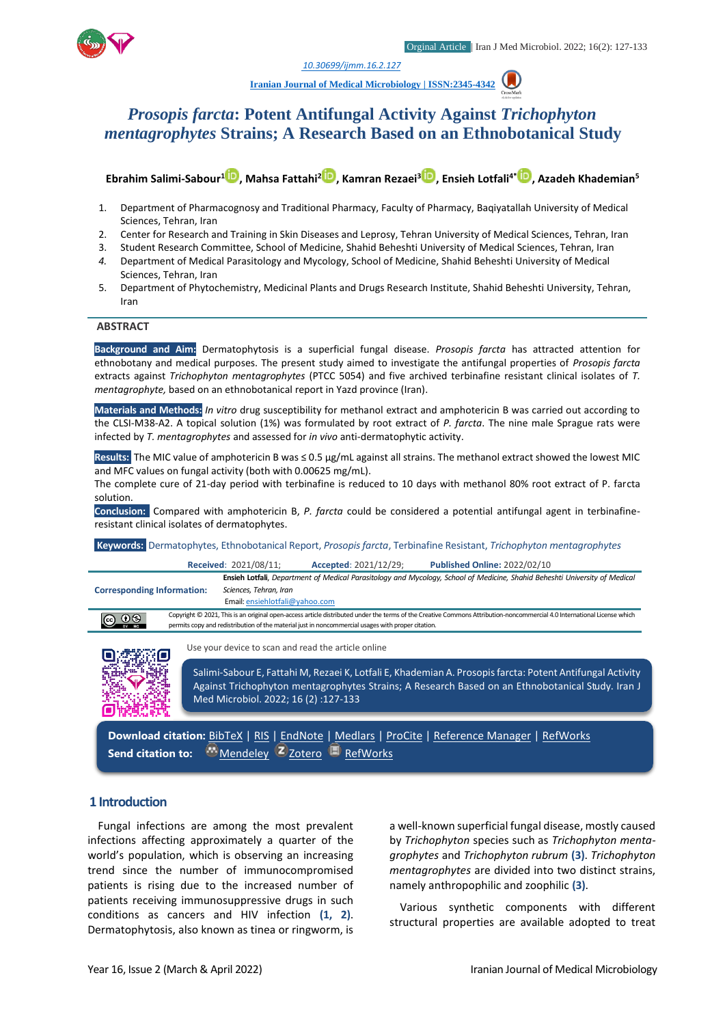

*1. [10.30699/ijmm.16.2.127](http://dx.doi.org/10.30699/ijmm.16.2.127)*

**[Iranian Journal of Medical Microbiology |](https://ijmm.ir/) ISSN:2345-4342**

# *Prosopis farcta***: Potent Antifungal Activity Against** *Trichophyton mentagrophytes* **Strains; A Research Based on an Ethnobotanical Study**

**Ebrahim Salimi-Sabour<sup>1</sup> , Mahsa Fattahi[2](http://orcid.org/0000000336134644) , Kamran Rezaei[3](http://orcid.org/0000000204513175) , Ensieh Lotfali4\* , Azadeh Khademian<sup>5</sup>**

- 1. Department of Pharmacognosy and Traditional Pharmacy, Faculty of Pharmacy, Baqiyatallah University of Medical Sciences, Tehran, Iran
- 2. Center for Research and Training in Skin Diseases and Leprosy, Tehran University of Medical Sciences, Tehran, Iran
- 3. Student Research Committee, School of Medicine, Shahid Beheshti University of Medical Sciences, Tehran, Iran
- *4.* Department of Medical Parasitology and Mycology, School of Medicine, Shahid Beheshti University of Medical Sciences, Tehran, Iran
- 5. Department of Phytochemistry, Medicinal Plants and Drugs Research Institute, Shahid Beheshti University, Tehran, Iran

### **ABSTRACT**

**Background and Aim:** Dermatophytosis is a superficial fungal disease. *Prosopis farcta* has attracted attention for ethnobotany and medical purposes. The present study aimed to investigate the antifungal properties of *Prosopis farcta* extracts against *Trichophyton mentagrophytes* (PTCC 5054) and five archived terbinafine resistant clinical isolates of *T. mentagrophyte,* based on an ethnobotanical report in Yazd province (Iran).

**Materials and Methods:** *In vitro* drug susceptibility for methanol extract and amphotericin B was carried out according to the CLSI-M38-A2. A topical solution (1%) was formulated by root extract of *P. farcta*. The nine male Sprague rats were infected by *T. mentagrophytes* and assessed for *in vivo* anti-dermatophytic activity.

**Results:** The MIC value of amphotericin B was ≤ 0.5 μg/mL against all strains. The methanol extract showed the lowest MIC and MFC values on fungal activity (both with 0.00625 mg/mL).

The complete cure of 21-day period with terbinafine is reduced to 10 days with methanol 80% root extract of P. farcta solution.

**Conclusion:** Compared with amphotericin B, *P. farcta* could be considered a potential antifungal agent in terbinafineresistant clinical isolates of dermatophytes.

**Keywords:** Dermatophytes, Ethnobotanical Report, *Prosopis farcta*, Terbinafine Resistant, *Trichophyton mentagrophytes*

|                                                                                                                                                                                                                                                                               |  | <b>Received: 2021/08/11;</b>                                                                                                                                                                                  | Accepted: 2021/12/29;                               | <b>Published Online: 2022/02/10</b>                                                                                        |  |  |  |  |
|-------------------------------------------------------------------------------------------------------------------------------------------------------------------------------------------------------------------------------------------------------------------------------|--|---------------------------------------------------------------------------------------------------------------------------------------------------------------------------------------------------------------|-----------------------------------------------------|----------------------------------------------------------------------------------------------------------------------------|--|--|--|--|
|                                                                                                                                                                                                                                                                               |  |                                                                                                                                                                                                               |                                                     | Ensieh Lotfali, Department of Medical Parasitology and Mycology, School of Medicine, Shahid Beheshti University of Medical |  |  |  |  |
| <b>Corresponding Information:</b>                                                                                                                                                                                                                                             |  | Sciences, Tehran, Iran                                                                                                                                                                                        |                                                     |                                                                                                                            |  |  |  |  |
|                                                                                                                                                                                                                                                                               |  | Email: ensiehlotfali@yahoo.com                                                                                                                                                                                |                                                     |                                                                                                                            |  |  |  |  |
| Copyright © 2021, This is an original open-access article distributed under the terms of the Creative Commons Attribution-noncommercial 4.0 International License which<br>permits copy and redistribution of the material just in noncommercial usages with proper citation. |  |                                                                                                                                                                                                               |                                                     |                                                                                                                            |  |  |  |  |
|                                                                                                                                                                                                                                                                               |  |                                                                                                                                                                                                               | Use your device to scan and read the article online |                                                                                                                            |  |  |  |  |
|                                                                                                                                                                                                                                                                               |  | Salimi-Sabour E, Fattahi M, Rezaei K, Lotfali E, Khademian A. Prosopis farcta: Potent Antifungal Activity<br>Against Trichophyton mentagrophytes Strains; A Research Based on an Ethnobotanical Study. Iran J |                                                     |                                                                                                                            |  |  |  |  |

**Download citation:** [BibTeX](https://ijmm.ir/web2export.php?a_code=A-10-1687-1&sid=1&slc_lang=en&type=BibTeX) | [RIS](https://ijmm.ir/web2export.php?a_code=A-10-1687-1&sid=1&slc_lang=en&type=ris) | [EndNote](https://ijmm.ir/web2export.php?a_code=A-10-1687-1&sid=1&slc_lang=en&type=EndNote) | [Medlars](https://ijmm.ir/web2export.php?a_code=A-10-1687-1&sid=1&slc_lang=en&type=Medlars) | [ProCite](https://ijmm.ir/web2export.php?a_code=A-10-1687-1&sid=1&slc_lang=en&type=ProCite) | [Reference Manager](https://ijmm.ir/web2export.php?a_code=A-10-1687-1&sid=1&slc_lang=en&type=Reference_Manager) | [RefWorks](https://ijmm.ir/web2export.php?a_code=A-10-1687-1&sid=1&slc_lang=en&type=RefWorks) Send citation to: [Mendeley](http://www.mendeley.com/import/?url=https://ijmm.ir/article-1-1426-en.html) **Z** [Zotero](https://ijmm.ir/web2export.php?a_code=A-10-1687-1&sid=1&slc_lang=en&type=ris) **[RefWorks](http://www.refworks.com/express/ExpressImport.asp?vendor=Iran-J-Med-Microbiol&filter=RefWorks%20Tagged%20Format&encoding=65001&url=http%3A%2F%2Fijmm.ir%2Farticle-1-1426-en.html)** 

Med Microbiol. 2022; 16 (2) :127-133

### **1 Introduction**

Fungal infections are among the most prevalent infections affecting approximately a quarter of the world's population, which is observing an increasing trend since the number of immunocompromised patients is rising due to the increased number of patients receiving immunosuppressive drugs in such conditions as cancers and HIV infection **(1, 2)**. Dermatophytosis, also known as tinea or ringworm, is

a well-known superficial fungal disease, mostly caused by *Trichophyton* species such as *Trichophyton mentagrophytes* and *Trichophyton rubrum* **(3)**. *Trichophyton mentagrophytes* are divided into two distinct strains, namely anthropophilic and zoophilic **(3)**.

Various synthetic components with different structural properties are available adopted to treat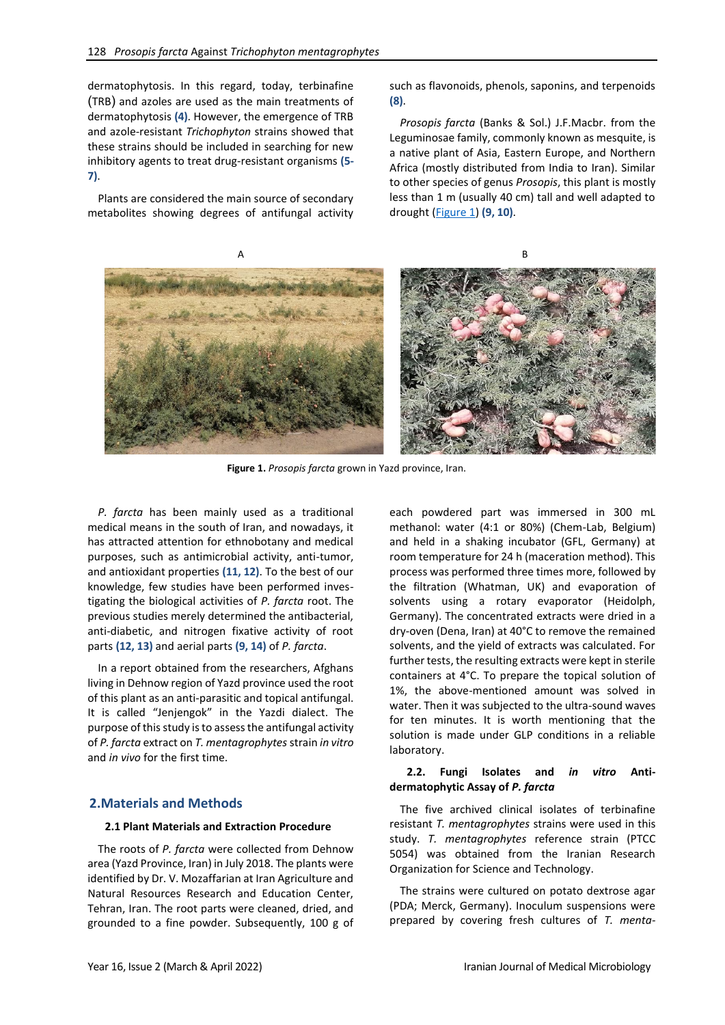dermatophytosis. In this regard, today, terbinafine (TRB) and azoles are used as the main treatments of dermatophytosis **(4)**. However, the emergence of TRB and azole-resistant *Trichophyton* strains showed that these strains should be included in searching for new inhibitory agents to treat drug-resistant organisms **(5- 7)**.

Plants are considered the main source of secondary metabolites showing degrees of antifungal activity such as flavonoids, phenols, saponins, and terpenoids **(8)**.

*Prosopis farcta* (Banks & Sol.) J.F.Macbr. from the Leguminosae family, commonly known as mesquite, is a native plant of Asia, Eastern Europe, and Northern Africa (mostly distributed from India to Iran). Similar to other species of genus *Prosopis*, this plant is mostly less than 1 m (usually 40 cm) tall and well adapted to drought [\(Figure 1\)](#page-1-0) **(9, 10)**.



 **Figure 1.** *Prosopis farcta* grown in Yazd province, Iran.

<span id="page-1-0"></span>*P. farcta* has been mainly used as a traditional medical means in the south of Iran, and nowadays, it has attracted attention for ethnobotany and medical purposes, such as antimicrobial activity, anti-tumor, and antioxidant properties **(11, 12)**. To the best of our knowledge, few studies have been performed investigating the biological activities of *P. farcta* root. The previous studies merely determined the antibacterial, anti-diabetic, and nitrogen fixative activity of root parts **(12, 13)** and aerial parts **(9, 14)** of *P. farcta*.

In a report obtained from the researchers, Afghans living in Dehnow region of Yazd province used the root of this plant as an anti-parasitic and topical antifungal. It is called "Jenjengok" in the Yazdi dialect. The purpose of this study is to assess the antifungal activity of *P. farcta* extract on *T. mentagrophytes* strain *in vitro* and *in vivo* for the first time.

### **2.Materials and Methods**

#### **2.1 Plant Materials and Extraction Procedure**

The roots of *P. farcta* were collected from Dehnow area (Yazd Province, Iran) in July 2018. The plants were identified by Dr. V. Mozaffarian at Iran Agriculture and Natural Resources Research and Education Center, Tehran, Iran. The root parts were cleaned, dried, and grounded to a fine powder. Subsequently, 100 g of each powdered part was immersed in 300 mL methanol: water (4:1 or 80%) (Chem-Lab, Belgium) and held in a shaking incubator (GFL, Germany) at room temperature for 24 h (maceration method). This process was performed three times more, followed by the filtration (Whatman, UK) and evaporation of solvents using a rotary evaporator (Heidolph, Germany). The concentrated extracts were dried in a dry-oven (Dena, Iran) at 40°C to remove the remained solvents, and the yield of extracts was calculated. For further tests, the resulting extracts were kept in sterile containers at 4°C. To prepare the topical solution of 1%, the above-mentioned amount was solved in water. Then it was subjected to the ultra-sound waves for ten minutes. It is worth mentioning that the solution is made under GLP conditions in a reliable laboratory.

### **2.2. Fungi Isolates and** *in vitro* **Antidermatophytic Assay of** *P. farcta*

The five archived clinical isolates of terbinafine resistant *T. mentagrophytes* strains were used in this study. *T. mentagrophytes* reference strain (PTCC 5054) was obtained from the Iranian Research Organization for Science and Technology.

The strains were cultured on potato dextrose agar (PDA; Merck, Germany). Inoculum suspensions were prepared by covering fresh cultures of *T. menta-*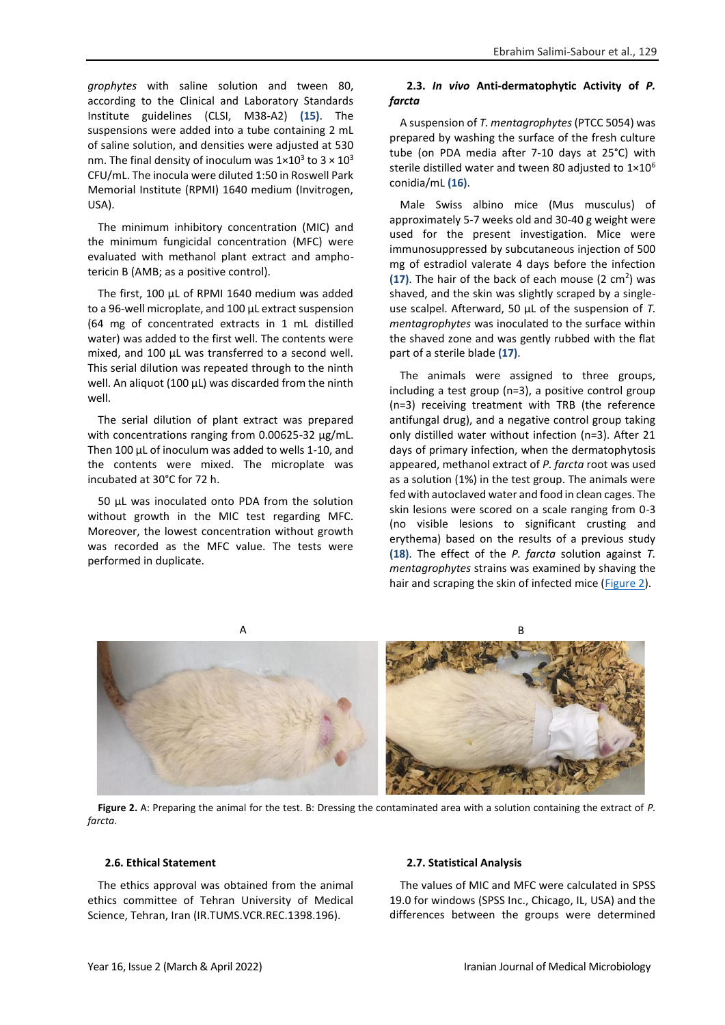*grophytes* with saline solution and tween 80, according to the Clinical and Laboratory Standards Institute guidelines (CLSI, M38-A2) **(15)**. The suspensions were added into a tube containing 2 mL of saline solution, and densities were adjusted at 530 nm. The final density of inoculum was  $1\times10^3$  to  $3\times10^3$ CFU/mL. The inocula were diluted 1:50 in Roswell Park Memorial Institute (RPMI) 1640 medium (Invitrogen, USA).

The minimum inhibitory concentration (MIC) and the minimum fungicidal concentration (MFC) were evaluated with methanol plant extract and amphotericin B (AMB; as a positive control).

The first, 100 μL of RPMI 1640 medium was added to a 96-well microplate, and 100 µL extract suspension (64 mg of concentrated extracts in 1 mL distilled water) was added to the first well. The contents were mixed, and 100 µL was transferred to a second well. This serial dilution was repeated through to the ninth well. An aliquot (100 µL) was discarded from the ninth well.

The serial dilution of plant extract was prepared with concentrations ranging from 0.00625-32 μg/mL. Then 100 µL of inoculum was added to wells 1-10, and the contents were mixed. The microplate was incubated at 30°C for 72 h.

50 μL was inoculated onto PDA from the solution without growth in the MIC test regarding MFC. Moreover, the lowest concentration without growth was recorded as the MFC value. The tests were performed in duplicate.

## **2.3.** *In vivo* **Anti-dermatophytic Activity of** *P. farcta*

A suspension of *T. mentagrophytes* (PTCC 5054) was prepared by washing the surface of the fresh culture tube (on PDA media after 7-10 days at 25°C) with sterile distilled water and tween 80 adjusted to 1×10<sup>6</sup> conidia/mL **(16)**.

Male Swiss albino mice (Mus musculus) of approximately 5-7 weeks old and 30-40 g weight were used for the present investigation. Mice were immunosuppressed by subcutaneous injection of 500 mg of estradiol valerate 4 days before the infection (17). The hair of the back of each mouse (2 cm<sup>2</sup>) was shaved, and the skin was slightly scraped by a singleuse scalpel. Afterward, 50 μL of the suspension of *T. mentagrophytes* was inoculated to the surface within the shaved zone and was gently rubbed with the flat part of a sterile blade **(17)**.

The animals were assigned to three groups, including a test group (n=3), a positive control group (n=3) receiving treatment with TRB (the reference antifungal drug), and a negative control group taking only distilled water without infection (n=3). After 21 days of primary infection, when the dermatophytosis appeared, methanol extract of *P. farcta* root was used as a solution (1%) in the test group. The animals were fed with autoclaved water and food in clean cages. The skin lesions were scored on a scale ranging from 0-3 (no visible lesions to significant crusting and erythema) based on the results of a previous study **(18)**. The effect of the *P. farcta* solution against *T. mentagrophytes* strains was examined by shaving the hair and scraping the skin of infected mice [\(Figure 2\)](#page-2-0).



**Figure 2.** A: Preparing the animal for the test. B: Dressing the contaminated area with a solution containing the extract of *P. farcta*.

# <span id="page-2-0"></span>**2.6. Ethical Statement**

The ethics approval was obtained from the animal ethics committee of Tehran University of Medical Science, Tehran, Iran (IR.TUMS.VCR.REC.1398.196).

### **2.7. Statistical Analysis**

The values of MIC and MFC were calculated in SPSS 19.0 for windows (SPSS Inc., Chicago, IL, USA) and the differences between the groups were determined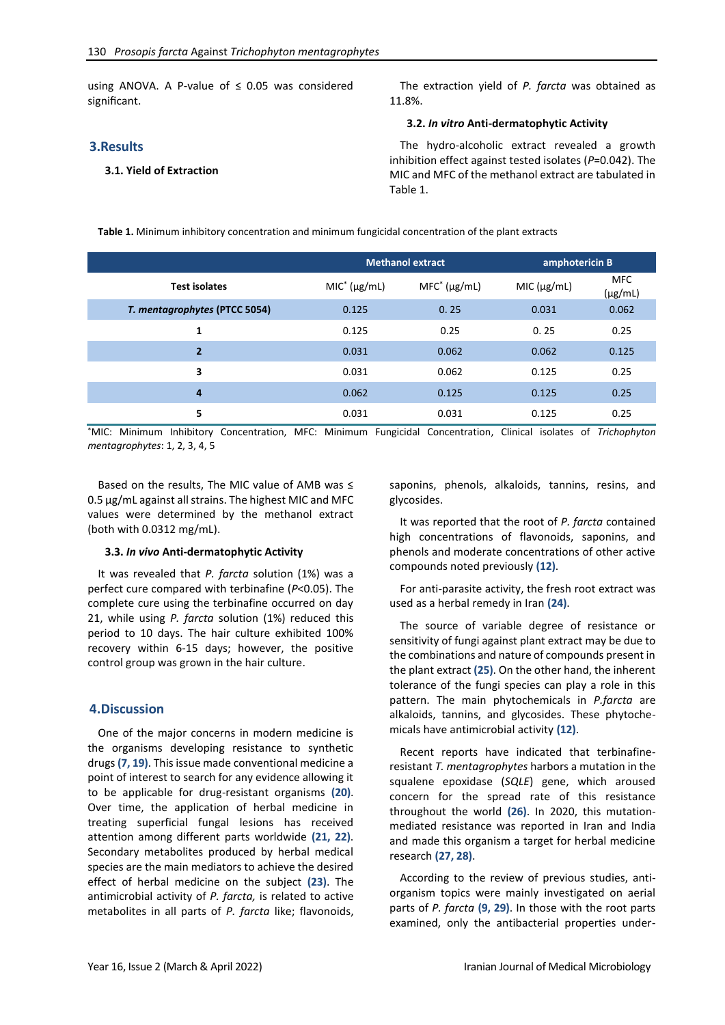using ANOVA. A P-value of  $\leq$  0.05 was considered significant.

### **3.Results**

#### **3.1. Yield of Extraction**

The extraction yield of *P. farcta* was obtained as 11.8%.

#### **3.2.** *In vitro* **Anti-dermatophytic Activity**

The hydro-alcoholic extract revealed a growth inhibition effect against tested isolates (*P*=0.042). The MIC and MFC of the methanol extract are tabulated in Table 1.

**Table 1.** Minimum inhibitory concentration and minimum fungicidal concentration of the plant extracts

|                               | <b>Methanol extract</b> |                   | amphotericin B |                            |
|-------------------------------|-------------------------|-------------------|----------------|----------------------------|
| <b>Test isolates</b>          | $MIC^*(\mu g/mL)$       | $MFC^*(\mu g/mL)$ | MIC (µg/mL)    | <b>MFC</b><br>$(\mu g/mL)$ |
| T. mentagrophytes (PTCC 5054) | 0.125                   | 0.25              | 0.031          | 0.062                      |
| 1                             | 0.125                   | 0.25              | 0.25           | 0.25                       |
| $\overline{2}$                | 0.031                   | 0.062             | 0.062          | 0.125                      |
| 3                             | 0.031                   | 0.062             | 0.125          | 0.25                       |
| 4                             | 0.062                   | 0.125             | 0.125          | 0.25                       |
| 5                             | 0.031                   | 0.031             | 0.125          | 0.25                       |

\*MIC: Minimum Inhibitory Concentration, MFC: Minimum Fungicidal Concentration, Clinical isolates of *Trichophyton mentagrophytes*: 1, 2, 3, 4, 5

Based on the results, The MIC value of AMB was ≤ 0.5 μg/mL against all strains. The highest MIC and MFC values were determined by the methanol extract (both with 0.0312 mg/mL).

#### **3.3.** *In vivo* **Anti-dermatophytic Activity**

It was revealed that *P. farcta* solution (1%) was a perfect cure compared with terbinafine (*P*<0.05). The complete cure using the terbinafine occurred on day 21, while using *P. farcta* solution (1%) reduced this period to 10 days. The hair culture exhibited 100% recovery within 6-15 days; however, the positive control group was grown in the hair culture.

#### **4.Discussion**

One of the major concerns in modern medicine is the organisms developing resistance to synthetic drugs **(7, 19)**. This issue made conventional medicine a point of interest to search for any evidence allowing it to be applicable for drug-resistant organisms **(20)**. Over time, the application of herbal medicine in treating superficial fungal lesions has received attention among different parts worldwide **(21, 22)**. Secondary metabolites produced by herbal medical species are the main mediators to achieve the desired effect of herbal medicine on the subject **(23)**. The antimicrobial activity of *P. farcta,* is related to active metabolites in all parts of *P. farcta* like; flavonoids,

saponins, phenols, alkaloids, tannins, resins, and glycosides.

It was reported that the root of *P. farcta* contained high concentrations of flavonoids, saponins, and phenols and moderate concentrations of other active compounds noted previously **(12)**.

For anti-parasite activity, the fresh root extract was used as a herbal remedy in Iran **(24)**.

The source of variable degree of resistance or sensitivity of fungi against plant extract may be due to the combinations and nature of compounds present in the plant extract **(25)**. On the other hand, the inherent tolerance of the fungi species can play a role in this pattern. The main phytochemicals in *P.farcta* are alkaloids, tannins, and glycosides. These phytochemicals have antimicrobial activity **(12)**.

Recent reports have indicated that terbinafineresistant *T. mentagrophytes* harbors a mutation in the squalene epoxidase (*SQLE*) gene, which aroused concern for the spread rate of this resistance throughout the world **(26)**. In 2020, this mutationmediated resistance was reported in Iran and India and made this organism a target for herbal medicine research **(27, 28)**.

According to the review of previous studies, antiorganism topics were mainly investigated on aerial parts of *P. farcta* **(9, 29)**. In those with the root parts examined, only the antibacterial properties under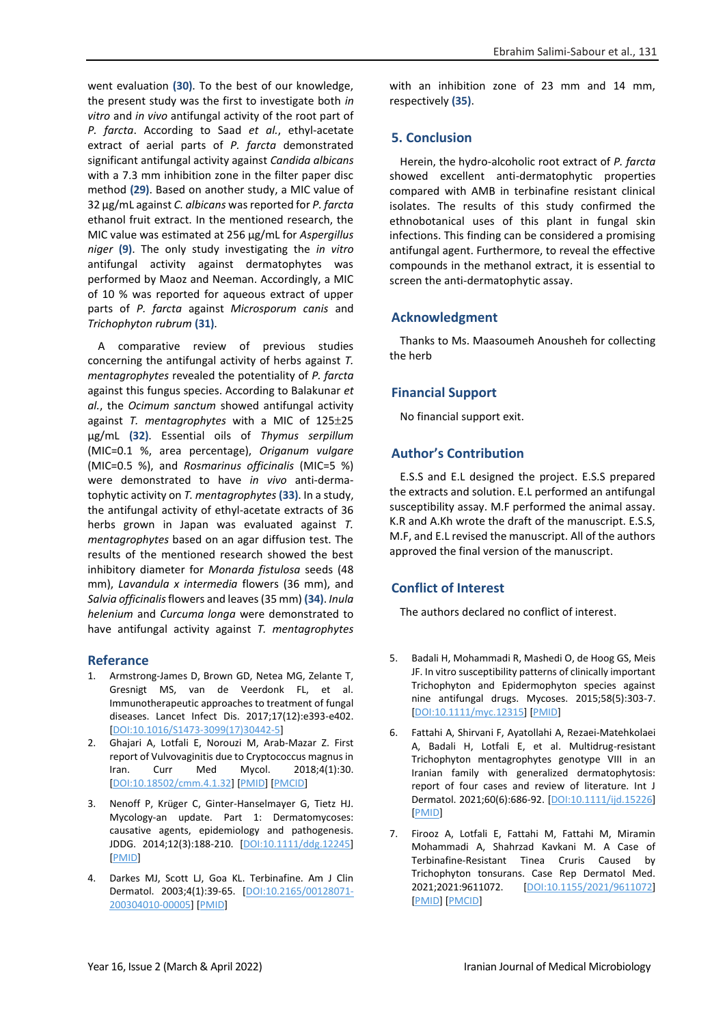went evaluation **(30)**. To the best of our knowledge, the present study was the first to investigate both *in vitro* and *in vivo* antifungal activity of the root part of *P. farcta*. According to Saad *et al.*, ethyl-acetate extract of aerial parts of *P. farcta* demonstrated significant antifungal activity against *Candida albicans* with a 7.3 mm inhibition zone in the filter paper disc method **(29)**. Based on another study, a MIC value of 32 μg/mL against *C. albicans* was reported for *P. farcta* ethanol fruit extract. In the mentioned research, the MIC value was estimated at 256 μg/mL for *Aspergillus niger* **(9)**. The only study investigating the *in vitro* antifungal activity against dermatophytes was performed by Maoz and Neeman. Accordingly, a MIC of 10 % was reported for aqueous extract of upper parts of *P. farcta* against *Microsporum canis* and *Trichophyton rubrum* **(31)**.

A comparative review of previous studies concerning the antifungal activity of herbs against *T. mentagrophytes* revealed the potentiality of *P. farcta* against this fungus species. According to Balakunar *et al.*, the *Ocimum sanctum* showed antifungal activity against *T. mentagrophytes* with a MIC of 125 $\pm$ 25 μg/mL **(32)**. Essential oils of *Thymus serpillum*  (MIC=0.1 %, area percentage), *Origanum vulgare* (MIC=0.5 %), and *Rosmarinus officinalis* (MIC=5 %) were demonstrated to have *in vivo* anti-dermatophytic activity on *T. mentagrophytes* **(33)**. In a study, the antifungal activity of ethyl-acetate extracts of 36 herbs grown in Japan was evaluated against *T. mentagrophytes* based on an agar diffusion test. The results of the mentioned research showed the best inhibitory diameter for *Monarda fistulosa* seeds (48 mm), *Lavandula x intermedia* flowers (36 mm), and *Salvia officinalis*flowers and leaves (35 mm) **(34)**. *Inula helenium* and *Curcuma longa* were demonstrated to have antifungal activity against *T. mentagrophytes*

### **Referance**

- 1. Armstrong-James D, Brown GD, Netea MG, Zelante T, Gresnigt MS, van de Veerdonk FL, et al. Immunotherapeutic approaches to treatment of fungal diseases. Lancet Infect Dis. 2017;17(12):e393-e402. [\[DOI:10.1016/S1473-3099\(17\)30442-5\]](https://doi.org/10.1016/S1473-3099(17)30442-5)
- 2. Ghajari A, Lotfali E, Norouzi M, Arab-Mazar Z. First report of Vulvovaginitis due to Cryptococcus magnus in Iran. Curr Med Mycol. 2018;4(1):30. [\[DOI:10.18502/cmm.4.1.32\]](https://doi.org/10.18502/cmm.4.1.32) [\[PMID\]](https://www.ncbi.nlm.nih.gov/pubmed/30186991) [\[PMCID\]](http://www.ncbi.nlm.nih.gov/pmc/articles/PMC6101150)
- 3. Nenoff P, Krüger C, Ginter‐Hanselmayer G, Tietz HJ. Mycology-an update. Part 1: Dermatomycoses: causative agents, epidemiology and pathogenesis. JDDG. 2014;12(3):188-210. [\[DOI:10.1111/ddg.12245\]](https://doi.org/10.1111/ddg.12245) [\[PMID\]](https://www.ncbi.nlm.nih.gov/pubmed/24533779)
- 4. Darkes MJ, Scott LJ, Goa KL. Terbinafine. Am J Clin Dermatol. 2003;4(1):39-65. [\[DOI:10.2165/00128071-](https://doi.org/10.2165/00128071-200304010-00005) [200304010-00005\]](https://doi.org/10.2165/00128071-200304010-00005) [\[PMID\]](https://www.ncbi.nlm.nih.gov/pubmed/12477372)

with an inhibition zone of 23 mm and 14 mm, respectively **(35)**.

# **5. Conclusion**

Herein, the hydro-alcoholic root extract of *P. farcta* showed excellent anti-dermatophytic properties compared with AMB in terbinafine resistant clinical isolates. The results of this study confirmed the ethnobotanical uses of this plant in fungal skin infections. This finding can be considered a promising antifungal agent. Furthermore, to reveal the effective compounds in the methanol extract, it is essential to screen the anti-dermatophytic assay.

# **Acknowledgment**

Thanks to Ms. Maasoumeh Anousheh for collecting the herb

# **Financial Support**

No financial support exit.

# **Author's Contribution**

E.S.S and E.L designed the project. E.S.S prepared the extracts and solution. E.L performed an antifungal susceptibility assay. M.F performed the animal assay. K.R and A.Kh wrote the draft of the manuscript. E.S.S, M.F, and E.L revised the manuscript. All of the authors approved the final version of the manuscript.

# **Conflict of Interest**

The authors declared no conflict of interest.

- 5. Badali H, Mohammadi R, Mashedi O, de Hoog GS, Meis JF. In vitro susceptibility patterns of clinically important Trichophyton and Epidermophyton species against nine antifungal drugs. Mycoses. 2015;58(5):303-7. [\[DOI:10.1111/myc.12315\]](https://doi.org/10.1111/myc.12315) [\[PMID\]](https://www.ncbi.nlm.nih.gov/pubmed/25757042)
- 6. Fattahi A, Shirvani F, Ayatollahi A, Rezaei‐Matehkolaei A, Badali H, Lotfali E, et al. Multidrug-resistant Trichophyton mentagrophytes genotype VIII in an Iranian family with generalized dermatophytosis: report of four cases and review of literature. Int J Dermatol. 2021;60(6):686-92. [\[DOI:10.1111/ijd.15226\]](https://doi.org/10.1111/ijd.15226) [\[PMID\]](https://www.ncbi.nlm.nih.gov/pubmed/33047849)
- 7. Firooz A, Lotfali E, Fattahi M, Fattahi M, Miramin Mohammadi A, Shahrzad Kavkani M. A Case of Terbinafine-Resistant Tinea Cruris Caused by Trichophyton tonsurans. Case Rep Dermatol Med. 2021;2021:9611072. [\[DOI:10.1155/2021/9611072\]](https://doi.org/10.1155/2021/9611072) [\[PMID\]](https://www.ncbi.nlm.nih.gov/pubmed/34925922) [\[PMCID\]](http://www.ncbi.nlm.nih.gov/pmc/articles/PMC8677411)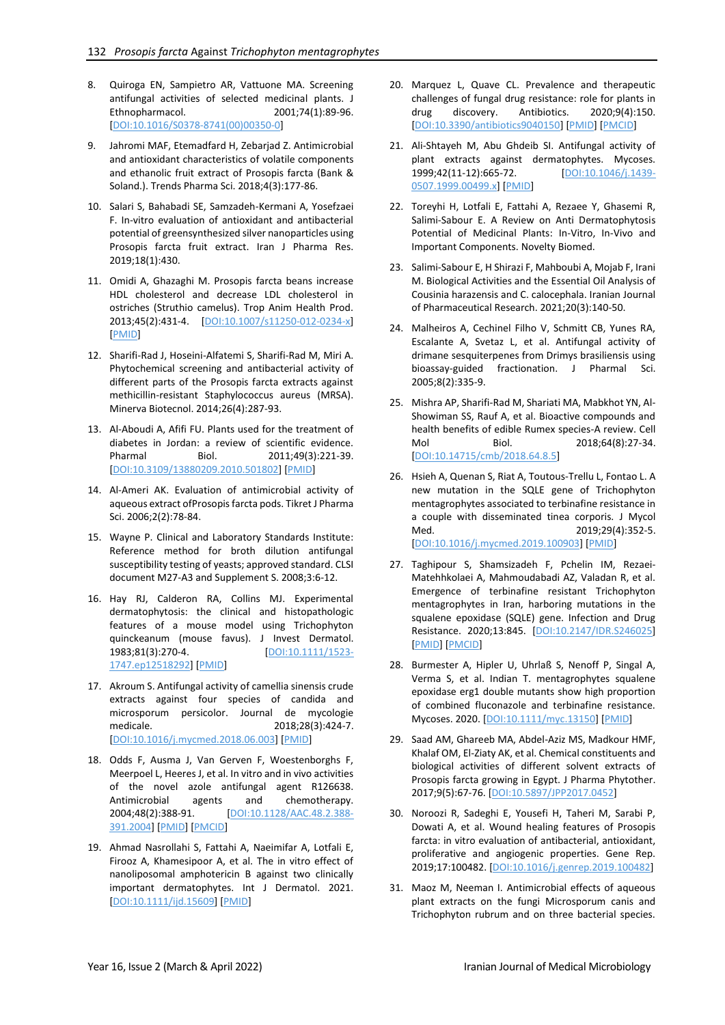- 8. Quiroga EN, Sampietro AR, Vattuone MA. Screening antifungal activities of selected medicinal plants. J<br>Ethnopharmacol. 2001;74(1):89-96. 2001;74(1):89-96. [\[DOI:10.1016/S0378-8741\(00\)00350-0\]](https://doi.org/10.1016/S0378-8741(00)00350-0)
- 9. Jahromi MAF, Etemadfard H, Zebarjad Z. Antimicrobial and antioxidant characteristics of volatile components and ethanolic fruit extract of Prosopis farcta (Bank & Soland.). Trends Pharma Sci. 2018;4(3):177-86.
- 10. Salari S, Bahabadi SE, Samzadeh-Kermani A, Yosefzaei F. In-vitro evaluation of antioxidant and antibacterial potential of greensynthesized silver nanoparticles using Prosopis farcta fruit extract. Iran J Pharma Res. 2019;18(1):430.
- 11. Omidi A, Ghazaghi M. Prosopis farcta beans increase HDL cholesterol and decrease LDL cholesterol in ostriches (Struthio camelus). Trop Anim Health Prod. 2013;45(2):431-4. [\[DOI:10.1007/s11250-012-0234-x\]](https://doi.org/10.1007/s11250-012-0234-x) [\[PMID\]](https://www.ncbi.nlm.nih.gov/pubmed/22843283)
- 12. Sharifi-Rad J, Hoseini-Alfatemi S, Sharifi-Rad M, Miri A. Phytochemical screening and antibacterial activity of different parts of the Prosopis farcta extracts against methicillin-resistant Staphylococcus aureus (MRSA). Minerva Biotecnol. 2014;26(4):287-93.
- 13. Al-Aboudi A, Afifi FU. Plants used for the treatment of diabetes in Jordan: a review of scientific evidence. Pharmal Biol. 2011;49(3):221-39. [\[DOI:10.3109/13880209.2010.501802\]](https://doi.org/10.3109/13880209.2010.501802) [\[PMID\]](https://www.ncbi.nlm.nih.gov/pubmed/20979537)
- 14. Al-Ameri AK. Evaluation of antimicrobial activity of aqueous extract ofProsopis farcta pods. Tikret J Pharma Sci. 2006;2(2):78-84.
- 15. Wayne P. Clinical and Laboratory Standards Institute: Reference method for broth dilution antifungal susceptibility testing of yeasts; approved standard. CLSI document M27-A3 and Supplement S. 2008;3:6-12.
- 16. Hay RJ, Calderon RA, Collins MJ. Experimental dermatophytosis: the clinical and histopathologic features of a mouse model using Trichophyton quinckeanum (mouse favus). J Invest Dermatol. 1983;81(3):270-4. [\[DOI:10.1111/1523-](https://doi.org/10.1111/1523-1747.ep12518292) [1747.ep12518292\]](https://doi.org/10.1111/1523-1747.ep12518292) [\[PMID\]](https://www.ncbi.nlm.nih.gov/pubmed/6886475)
- 17. Akroum S. Antifungal activity of camellia sinensis crude extracts against four species of candida and microsporum persicolor. Journal de mycologie medicale. 2018;28(3):424-7. [\[DOI:10.1016/j.mycmed.2018.06.003\]](https://doi.org/10.1016/j.mycmed.2018.06.003) [\[PMID\]](https://www.ncbi.nlm.nih.gov/pubmed/29960870)
- 18. Odds F, Ausma J, Van Gerven F, Woestenborghs F, Meerpoel L, Heeres J, et al. In vitro and in vivo activities of the novel azole antifungal agent R126638. Antimicrobial agents and chemotherapy. 2004;48(2):388-91. [\[DOI:10.1128/AAC.48.2.388-](https://doi.org/10.1128/AAC.48.2.388-391.2004) [391.2004\]](https://doi.org/10.1128/AAC.48.2.388-391.2004) [\[PMID\]](https://www.ncbi.nlm.nih.gov/pubmed/14742185) [\[PMCID\]](http://www.ncbi.nlm.nih.gov/pmc/articles/PMC321549)
- 19. Ahmad Nasrollahi S, Fattahi A, Naeimifar A, Lotfali E, Firooz A, Khamesipoor A, et al. The in vitro effect of nanoliposomal amphotericin B against two clinically important dermatophytes. Int J Dermatol. 2021. [\[DOI:10.1111/ijd.15609\]](https://doi.org/10.1111/ijd.15609) [\[PMID\]](https://www.ncbi.nlm.nih.gov/pubmed/34176127)
- 20. Marquez L, Quave CL. Prevalence and therapeutic challenges of fungal drug resistance: role for plants in<br>drug discovery. Antibiotics. 2020;9(4):150. drug discovery. Antibiotics. 2020;9(4):150. [\[DOI:10.3390/antibiotics9040150\]](https://doi.org/10.3390/antibiotics9040150) [\[PMID\]](https://www.ncbi.nlm.nih.gov/pubmed/32244276) [\[PMCID\]](http://www.ncbi.nlm.nih.gov/pmc/articles/PMC7235788)
- 21. Ali‐Shtayeh M, Abu Ghdeib SI. Antifungal activity of plant extracts against dermatophytes. Mycoses. 1999;42(11‐12):665-72. [\[DOI:10.1046/j.1439-](https://doi.org/10.1046/j.1439-0507.1999.00499.x) [0507.1999.00499.x\]](https://doi.org/10.1046/j.1439-0507.1999.00499.x) [\[PMID\]](https://www.ncbi.nlm.nih.gov/pubmed/10680445)
- 22. Toreyhi H, Lotfali E, Fattahi A, Rezaee Y, Ghasemi R, Salimi-Sabour E. A Review on Anti Dermatophytosis Potential of Medicinal Plants: In-Vitro, In-Vivo and Important Components. Novelty Biomed.
- 23. Salimi-Sabour E, H Shirazi F, Mahboubi A, Mojab F, Irani M. Biological Activities and the Essential Oil Analysis of Cousinia harazensis and C. calocephala. Iranian Journal of Pharmaceutical Research. 2021;20(3):140-50.
- 24. Malheiros A, Cechinel Filho V, Schmitt CB, Yunes RA, Escalante A, Svetaz L, et al. Antifungal activity of drimane sesquiterpenes from Drimys brasiliensis using bioassay-guided fractionation. J Pharmal Sci. 2005;8(2):335-9.
- 25. Mishra AP, Sharifi-Rad M, Shariati MA, Mabkhot YN, Al-Showiman SS, Rauf A, et al. Bioactive compounds and health benefits of edible Rumex species-A review. Cell Mol Biol. 2018;64(8):27-34. [\[DOI:10.14715/cmb/2018.64.8.5\]](https://doi.org/10.14715/cmb/2018.64.8.5)
- 26. Hsieh A, Quenan S, Riat A, Toutous-Trellu L, Fontao L. A new mutation in the SQLE gene of Trichophyton mentagrophytes associated to terbinafine resistance in a couple with disseminated tinea corporis. J Mycol Med. 2019;29(4):352-5. [\[DOI:10.1016/j.mycmed.2019.100903\]](https://doi.org/10.1016/j.mycmed.2019.100903) [\[PMID\]](https://www.ncbi.nlm.nih.gov/pubmed/31611164)
- 27. Taghipour S, Shamsizadeh F, Pchelin IM, Rezaei-Matehhkolaei A, Mahmoudabadi AZ, Valadan R, et al. Emergence of terbinafine resistant Trichophyton mentagrophytes in Iran, harboring mutations in the squalene epoxidase (SQLE) gene. Infection and Drug Resistance. 2020;13:845. [\[DOI:10.2147/IDR.S246025\]](https://doi.org/10.2147/IDR.S246025) [\[PMID\]](https://www.ncbi.nlm.nih.gov/pubmed/32214830) [\[PMCID\]](http://www.ncbi.nlm.nih.gov/pmc/articles/PMC7078656)
- 28. Burmester A, Hipler U, Uhrlaß S, Nenoff P, Singal A, Verma S, et al. Indian T. mentagrophytes squalene epoxidase erg1 double mutants show high proportion of combined fluconazole and terbinafine resistance. Mycoses. 2020. [\[DOI:10.1111/myc.13150\]](https://doi.org/10.1111/myc.13150) [\[PMID\]](https://www.ncbi.nlm.nih.gov/pubmed/32725892)
- 29. Saad AM, Ghareeb MA, Abdel-Aziz MS, Madkour HMF, Khalaf OM, El-Ziaty AK, et al. Chemical constituents and biological activities of different solvent extracts of Prosopis farcta growing in Egypt. J Pharma Phytother. 2017;9(5):67-76. [\[DOI:10.5897/JPP2017.0452\]](https://doi.org/10.5897/JPP2017.0452)
- 30. Noroozi R, Sadeghi E, Yousefi H, Taheri M, Sarabi P, Dowati A, et al. Wound healing features of Prosopis farcta: in vitro evaluation of antibacterial, antioxidant, proliferative and angiogenic properties. Gene Rep. 2019;17:100482. [\[DOI:10.1016/j.genrep.2019.100482\]](https://doi.org/10.1016/j.genrep.2019.100482)
- 31. Maoz M, Neeman I. Antimicrobial effects of aqueous plant extracts on the fungi Microsporum canis and Trichophyton rubrum and on three bacterial species.